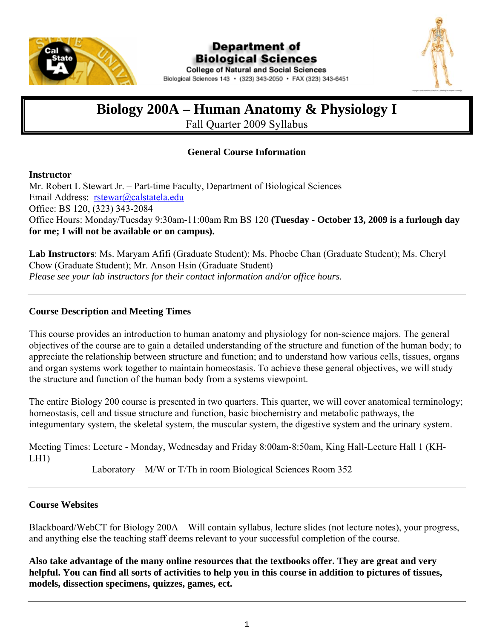

### Department of **Biological Sciences**



**College of Natural and Social Sciences** Biological Sciences 143 · (323) 343-2050 · FAX (323) 343-6451

### **Biology 200A – Human Anatomy & Physiology I**

Fall Quarter 2009 Syllabus

#### **General Course Information**

#### **Instructor**

Mr. Robert L Stewart Jr. – Part-time Faculty, Department of Biological Sciences Email Address: rstewar@calstatela.edu Office: BS 120, (323) 343-2084 Office Hours: Monday/Tuesday 9:30am-11:00am Rm BS 120 **(Tuesday - October 13, 2009 is a furlough day for me; I will not be available or on campus).** 

**Lab Instructors**: Ms. Maryam Afifi (Graduate Student); Ms. Phoebe Chan (Graduate Student); Ms. Cheryl Chow (Graduate Student); Mr. Anson Hsin (Graduate Student) *Please see your lab instructors for their contact information and/or office hours.* 

#### **Course Description and Meeting Times**

This course provides an introduction to human anatomy and physiology for non-science majors. The general objectives of the course are to gain a detailed understanding of the structure and function of the human body; to appreciate the relationship between structure and function; and to understand how various cells, tissues, organs and organ systems work together to maintain homeostasis. To achieve these general objectives, we will study the structure and function of the human body from a systems viewpoint.

The entire Biology 200 course is presented in two quarters. This quarter, we will cover anatomical terminology; homeostasis, cell and tissue structure and function, basic biochemistry and metabolic pathways, the integumentary system, the skeletal system, the muscular system, the digestive system and the urinary system.

Meeting Times: Lecture - Monday, Wednesday and Friday 8:00am-8:50am, King Hall-Lecture Hall 1 (KH-LH1)

Laboratory – M/W or T/Th in room Biological Sciences Room 352

#### **Course Websites**

Blackboard/WebCT for Biology 200A – Will contain syllabus, lecture slides (not lecture notes), your progress, and anything else the teaching staff deems relevant to your successful completion of the course.

**Also take advantage of the many online resources that the textbooks offer. They are great and very helpful. You can find all sorts of activities to help you in this course in addition to pictures of tissues, models, dissection specimens, quizzes, games, ect.**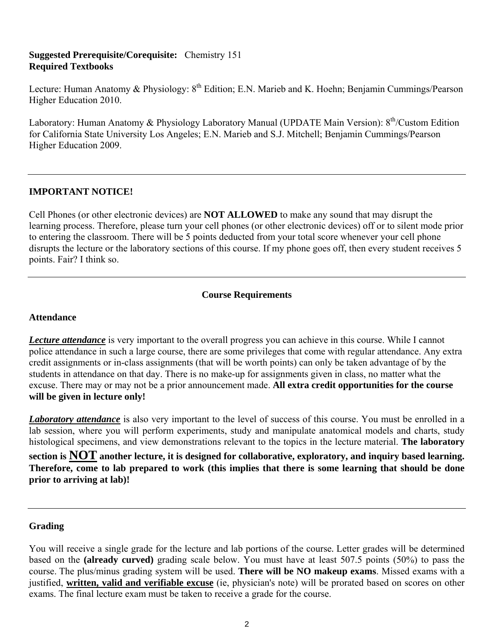#### **Suggested Prerequisite/Corequisite:** Chemistry 151 **Required Textbooks**

Lecture: Human Anatomy & Physiology: 8<sup>th</sup> Edition; E.N. Marieb and K. Hoehn; Benjamin Cummings/Pearson Higher Education 2010.

Laboratory: Human Anatomy & Physiology Laboratory Manual (UPDATE Main Version): 8<sup>th</sup>/Custom Edition for California State University Los Angeles; E.N. Marieb and S.J. Mitchell; Benjamin Cummings/Pearson Higher Education 2009.

#### **IMPORTANT NOTICE!**

Cell Phones (or other electronic devices) are **NOT ALLOWED** to make any sound that may disrupt the learning process. Therefore, please turn your cell phones (or other electronic devices) off or to silent mode prior to entering the classroom. There will be 5 points deducted from your total score whenever your cell phone disrupts the lecture or the laboratory sections of this course. If my phone goes off, then every student receives 5 points. Fair? I think so.

#### **Course Requirements**

#### **Attendance**

*Lecture attendance* is very important to the overall progress you can achieve in this course. While I cannot police attendance in such a large course, there are some privileges that come with regular attendance. Any extra credit assignments or in-class assignments (that will be worth points) can only be taken advantage of by the students in attendance on that day. There is no make-up for assignments given in class, no matter what the excuse. There may or may not be a prior announcement made. **All extra credit opportunities for the course will be given in lecture only!** 

*Laboratory attendance* is also very important to the level of success of this course. You must be enrolled in a lab session, where you will perform experiments, study and manipulate anatomical models and charts, study histological specimens, and view demonstrations relevant to the topics in the lecture material. **The laboratory section is NOT another lecture, it is designed for collaborative, exploratory, and inquiry based learning. Therefore, come to lab prepared to work (this implies that there is some learning that should be done prior to arriving at lab)!**

#### **Grading**

You will receive a single grade for the lecture and lab portions of the course*.* Letter grades will be determined based on the **(already curved)** grading scale below. You must have at least 507.5 points (50%) to pass the course. The plus/minus grading system will be used. **There will be NO makeup exams**. Missed exams with a justified, **written, valid and verifiable excuse** (ie, physician's note) will be prorated based on scores on other exams. The final lecture exam must be taken to receive a grade for the course.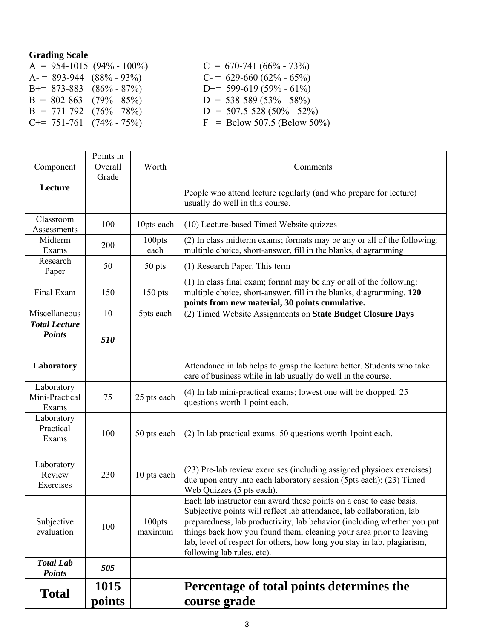### **Grading Scale**

| $A = 954 - 1015 (94\% - 100\%)$ | $C = 670-741 (66\% - 73\%)$     |
|---------------------------------|---------------------------------|
| $A = 893-944 (88\% - 93\%)$     | $C = 629-660 (62\% - 65\%)$     |
| $B+= 873-883$ $(86\% - 87\%)$   | D+= 599-619 (59% - 61%)         |
| $B = 802-863$ (79% - 85%)       | $D = 538-589(53\% - 58\%)$      |
| $B = 771-792$ $(76\% - 78\%)$   | $D = 507.5 - 528 (50\% - 52\%)$ |
| $C == 751-761$ $(74\% - 75\%)$  | $F =$ Below 507.5 (Below 50%)   |

| Component                             | Points in<br>Overall<br>Grade | Worth             | Comments                                                                                                                                                                                                                                                                                                                                                                                                |  |
|---------------------------------------|-------------------------------|-------------------|---------------------------------------------------------------------------------------------------------------------------------------------------------------------------------------------------------------------------------------------------------------------------------------------------------------------------------------------------------------------------------------------------------|--|
| Lecture                               |                               |                   | People who attend lecture regularly (and who prepare for lecture)<br>usually do well in this course.                                                                                                                                                                                                                                                                                                    |  |
| Classroom<br>Assessments              | 100                           | 10pts each        | (10) Lecture-based Timed Website quizzes                                                                                                                                                                                                                                                                                                                                                                |  |
| Midterm<br>Exams                      | 200                           | 100pts<br>each    | (2) In class midterm exams; formats may be any or all of the following:<br>multiple choice, short-answer, fill in the blanks, diagramming                                                                                                                                                                                                                                                               |  |
| Research<br>Paper                     | 50                            | 50 pts            | (1) Research Paper. This term                                                                                                                                                                                                                                                                                                                                                                           |  |
| Final Exam                            | 150                           | $150$ pts         | (1) In class final exam; format may be any or all of the following:<br>multiple choice, short-answer, fill in the blanks, diagramming. 120<br>points from new material, 30 points cumulative.                                                                                                                                                                                                           |  |
| Miscellaneous                         | 10                            | 5pts each         | (2) Timed Website Assignments on State Budget Closure Days                                                                                                                                                                                                                                                                                                                                              |  |
| <b>Total Lecture</b><br><b>Points</b> | 510                           |                   |                                                                                                                                                                                                                                                                                                                                                                                                         |  |
| Laboratory                            |                               |                   | Attendance in lab helps to grasp the lecture better. Students who take<br>care of business while in lab usually do well in the course.                                                                                                                                                                                                                                                                  |  |
| Laboratory<br>Mini-Practical<br>Exams | 75                            | 25 pts each       | (4) In lab mini-practical exams; lowest one will be dropped. 25<br>questions worth 1 point each.                                                                                                                                                                                                                                                                                                        |  |
| Laboratory<br>Practical<br>Exams      | 100                           | 50 pts each       | (2) In lab practical exams. 50 questions worth 1 point each.                                                                                                                                                                                                                                                                                                                                            |  |
| Laboratory<br>Review<br>Exercises     | 230                           | 10 pts each       | (23) Pre-lab review exercises (including assigned physioex exercises)<br>due upon entry into each laboratory session (5pts each); (23) Timed<br>Web Quizzes (5 pts each).                                                                                                                                                                                                                               |  |
| Subjective<br>evaluation              | 100                           | 100pts<br>maximum | Each lab instructor can award these points on a case to case basis.<br>Subjective points will reflect lab attendance, lab collaboration, lab<br>preparedness, lab productivity, lab behavior (including whether you put<br>things back how you found them, cleaning your area prior to leaving<br>lab, level of respect for others, how long you stay in lab, plagiarism,<br>following lab rules, etc). |  |
| <b>Total Lab</b><br><b>Points</b>     | 505                           |                   |                                                                                                                                                                                                                                                                                                                                                                                                         |  |
| <b>Total</b>                          | 1015<br>points                |                   | Percentage of total points determines the<br>course grade                                                                                                                                                                                                                                                                                                                                               |  |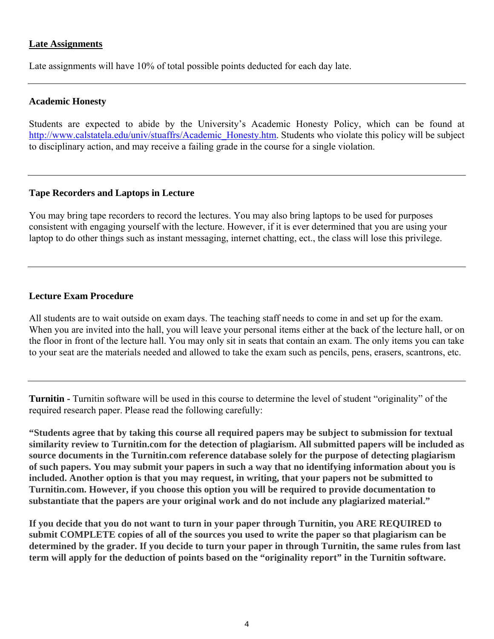#### **Late Assignments**

Late assignments will have 10% of total possible points deducted for each day late.

#### **Academic Honesty**

Students are expected to abide by the University's Academic Honesty Policy, which can be found at http://www.calstatela.edu/univ/stuaffrs/Academic\_Honesty.htm. Students who violate this policy will be subject to disciplinary action, and may receive a failing grade in the course for a single violation.

#### **Tape Recorders and Laptops in Lecture**

You may bring tape recorders to record the lectures. You may also bring laptops to be used for purposes consistent with engaging yourself with the lecture. However, if it is ever determined that you are using your laptop to do other things such as instant messaging, internet chatting, ect., the class will lose this privilege.

#### **Lecture Exam Procedure**

All students are to wait outside on exam days. The teaching staff needs to come in and set up for the exam. When you are invited into the hall, you will leave your personal items either at the back of the lecture hall, or on the floor in front of the lecture hall. You may only sit in seats that contain an exam. The only items you can take to your seat are the materials needed and allowed to take the exam such as pencils, pens, erasers, scantrons, etc.

**Turnitin -** Turnitin software will be used in this course to determine the level of student "originality" of the required research paper. Please read the following carefully:

**"Students agree that by taking this course all required papers may be subject to submission for textual similarity review to Turnitin.com for the detection of plagiarism. All submitted papers will be included as source documents in the Turnitin.com reference database solely for the purpose of detecting plagiarism of such papers. You may submit your papers in such a way that no identifying information about you is included. Another option is that you may request, in writing, that your papers not be submitted to Turnitin.com. However, if you choose this option you will be required to provide documentation to substantiate that the papers are your original work and do not include any plagiarized material."** 

**If you decide that you do not want to turn in your paper through Turnitin, you ARE REQUIRED to submit COMPLETE copies of all of the sources you used to write the paper so that plagiarism can be determined by the grader. If you decide to turn your paper in through Turnitin, the same rules from last term will apply for the deduction of points based on the "originality report" in the Turnitin software.**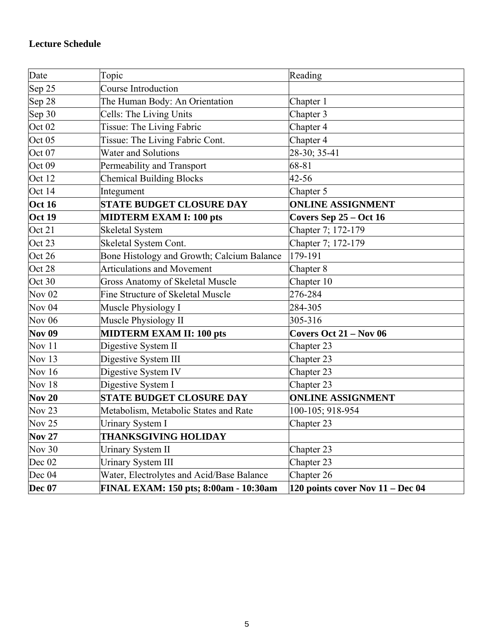| Date              | Topic                                      | Reading                          |  |
|-------------------|--------------------------------------------|----------------------------------|--|
| Sep 25            | Course Introduction                        |                                  |  |
| Sep 28            | The Human Body: An Orientation             | Chapter 1                        |  |
| Sep 30            | Cells: The Living Units                    | Chapter 3                        |  |
| Oct <sub>02</sub> | Tissue: The Living Fabric                  | Chapter 4                        |  |
| Oct <sub>05</sub> | Tissue: The Living Fabric Cont.            | Chapter 4                        |  |
| Oct <sub>07</sub> | <b>Water and Solutions</b>                 | 28-30; 35-41                     |  |
| Oct 09            | Permeability and Transport                 | 68-81                            |  |
| Oct 12            | <b>Chemical Building Blocks</b>            | $42 - 56$                        |  |
| Oct 14            | Integument                                 | Chapter 5                        |  |
| <b>Oct 16</b>     | <b>STATE BUDGET CLOSURE DAY</b>            | <b>ONLINE ASSIGNMENT</b>         |  |
| <b>Oct 19</b>     | <b>MIDTERM EXAM I: 100 pts</b>             | Covers Sep 25 - Oct 16           |  |
| Oct 21            | <b>Skeletal System</b>                     | Chapter 7; 172-179               |  |
| Oct 23            | Skeletal System Cont.                      | Chapter 7; 172-179               |  |
| Oct 26            | Bone Histology and Growth; Calcium Balance | 179-191                          |  |
| Oct 28            | <b>Articulations and Movement</b>          | Chapter 8                        |  |
| Oct 30            | Gross Anatomy of Skeletal Muscle           | Chapter 10                       |  |
| <b>Nov 02</b>     | Fine Structure of Skeletal Muscle          | 276-284                          |  |
| <b>Nov 04</b>     | Muscle Physiology I                        | 284-305                          |  |
| <b>Nov 06</b>     | Muscle Physiology II                       | 305-316                          |  |
| <b>Nov 09</b>     | <b>MIDTERM EXAM II: 100 pts</b>            | Covers Oct $21 - Nov 06$         |  |
| Nov $11$          | Digestive System II                        | Chapter 23                       |  |
| Nov $13$          | Digestive System III                       | Chapter 23                       |  |
| <b>Nov 16</b>     | Digestive System IV                        | Chapter 23                       |  |
| <b>Nov 18</b>     | Digestive System I                         | Chapter 23                       |  |
| <b>Nov 20</b>     | <b>STATE BUDGET CLOSURE DAY</b>            | <b>ONLINE ASSIGNMENT</b>         |  |
| <b>Nov 23</b>     | Metabolism, Metabolic States and Rate      | 100-105; 918-954                 |  |
| Nov <sub>25</sub> | <b>Urinary System I</b>                    | Chapter 23                       |  |
| <b>Nov 27</b>     | <b>THANKSGIVING HOLIDAY</b>                |                                  |  |
| <b>Nov 30</b>     | <b>Urinary System II</b>                   | Chapter 23                       |  |
| Dec 02            | <b>Urinary System III</b>                  | Chapter 23                       |  |
| Dec 04            | Water, Electrolytes and Acid/Base Balance  | Chapter 26                       |  |
| <b>Dec 07</b>     | FINAL EXAM: 150 pts; 8:00am - 10:30am      | 120 points cover Nov 11 – Dec 04 |  |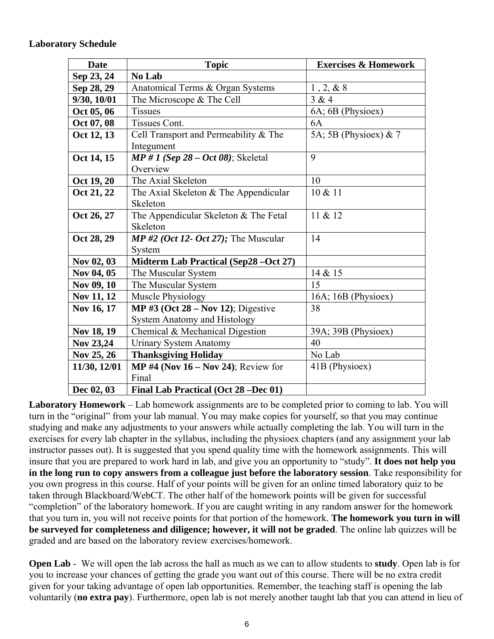#### **Laboratory Schedule**

| <b>Date</b>  | <b>Topic</b>                                 | <b>Exercises &amp; Homework</b> |
|--------------|----------------------------------------------|---------------------------------|
| Sep 23, 24   | No Lab                                       |                                 |
| Sep 28, 29   | Anatomical Terms & Organ Systems             | 1, 2, 8, 8                      |
| 9/30, 10/01  | The Microscope & The Cell                    | 3 & 4                           |
| Oct 05, 06   | <b>Tissues</b>                               | 6A; 6B (Physioex)               |
| Oct 07, 08   | Tissues Cont.                                | 6A                              |
| Oct 12, 13   | Cell Transport and Permeability & The        | 5A; 5B (Physioex) $& 7$         |
|              | Integument                                   |                                 |
| Oct 14, 15   | $MP # 1 (Sep 28 - Oct 08); Skeletal$         | 9                               |
|              | Overview                                     |                                 |
| Oct 19, 20   | The Axial Skeleton                           | 10                              |
| Oct 21, 22   | The Axial Skeleton & The Appendicular        | 10 & 11                         |
|              | Skeleton                                     |                                 |
| Oct 26, 27   | The Appendicular Skeleton & The Fetal        | 11 & 12                         |
|              | Skeleton                                     |                                 |
| Oct 28, 29   | $MP #2$ (Oct 12- Oct 27); The Muscular       | 14                              |
|              | System                                       |                                 |
| Nov 02, 03   | <b>Midterm Lab Practical (Sep28 –Oct 27)</b> |                                 |
| Nov 04, 05   | The Muscular System                          | 14 & 15                         |
| Nov 09, 10   | The Muscular System                          | 15                              |
| Nov 11, 12   | Muscle Physiology                            | 16A; 16B (Physioex)             |
| Nov 16, 17   | MP #3 (Oct $28 - Nov 12$ ); Digestive        | 38                              |
|              | <b>System Anatomy and Histology</b>          |                                 |
| Nov 18, 19   | Chemical & Mechanical Digestion              | 39A; 39B (Physioex)             |
| Nov 23,24    | <b>Urinary System Anatomy</b>                | 40                              |
| Nov 25, 26   | <b>Thanksgiving Holiday</b>                  | No Lab                          |
| 11/30, 12/01 | MP #4 (Nov $16 - Nov 24$ ); Review for       | 41B (Physioex)                  |
|              | Final                                        |                                 |
| Dec 02, 03   | Final Lab Practical (Oct 28 –Dec 01)         |                                 |

**Laboratory Homework** – Lab homework assignments are to be completed prior to coming to lab. You will turn in the "original" from your lab manual. You may make copies for yourself, so that you may continue studying and make any adjustments to your answers while actually completing the lab. You will turn in the exercises for every lab chapter in the syllabus, including the physioex chapters (and any assignment your lab instructor passes out). It is suggested that you spend quality time with the homework assignments. This will insure that you are prepared to work hard in lab, and give you an opportunity to "study". **It does not help you in the long run to copy answers from a colleague just before the laboratory session**. Take responsibility for you own progress in this course. Half of your points will be given for an online timed laboratory quiz to be taken through Blackboard/WebCT. The other half of the homework points will be given for successful "completion" of the laboratory homework. If you are caught writing in any random answer for the homework that you turn in, you will not receive points for that portion of the homework. **The homework you turn in will be surveyed for completeness and diligence; however, it will not be graded**. The online lab quizzes will be graded and are based on the laboratory review exercises/homework.

**Open Lab** - We will open the lab across the hall as much as we can to allow students to **study**. Open lab is for you to increase your chances of getting the grade you want out of this course. There will be no extra credit given for your taking advantage of open lab opportunities. Remember, the teaching staff is opening the lab voluntarily (**no extra pay**). Furthermore, open lab is not merely another taught lab that you can attend in lieu of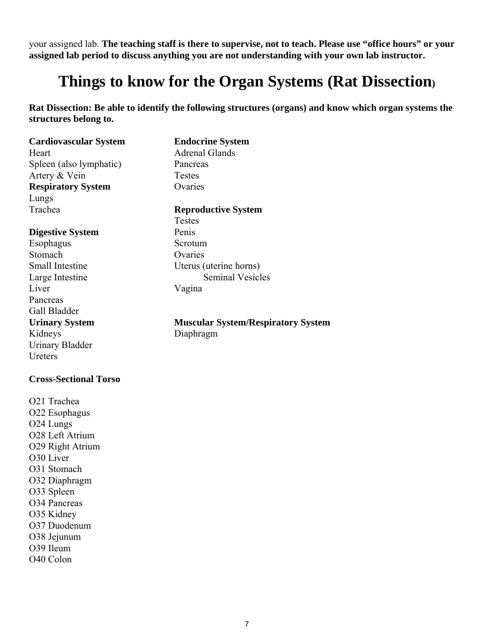your assigned lab. **The teaching staff is there to supervise, not to teach. Please use "office hours" or your assigned lab period to discuss anything you are not understanding with your own lab instructor.**

## **Things to know for the Organ Systems (Rat Dissection)**

**Rat Dissection: Be able to identify the following structures (organs) and know which organ systems the structures belong to.** 

#### **Cardiovascular System Endocrine System**

Heart Adrenal Glands Spleen (also lymphatic) Pancreas Artery & Vein Testes **Respiratory System** Ovaries Lungs

#### **Digestive System** Penis

Esophagus Scrotum Stomach Ovaries Liver Vagina Pancreas Gall Bladder Kidneys Diaphragm Urinary Bladder **Ureters** 

#### **Cross-Sectional Torso**

O21 Trachea O22 Esophagus O24 Lungs O28 Left Atrium O29 Right Atrium O30 Liver O31 Stomach O32 Diaphragm O33 Spleen O34 Pancreas O35 Kidney O37 Duodenum O38 Jejunum O39 Ileum O40 Colon

#### Trachea **Reproductive System**

 Testes Small Intestine Uterus (uterine horns) Large Intestine Seminal Vesicles

**Urinary System Muscular System/Respiratory System**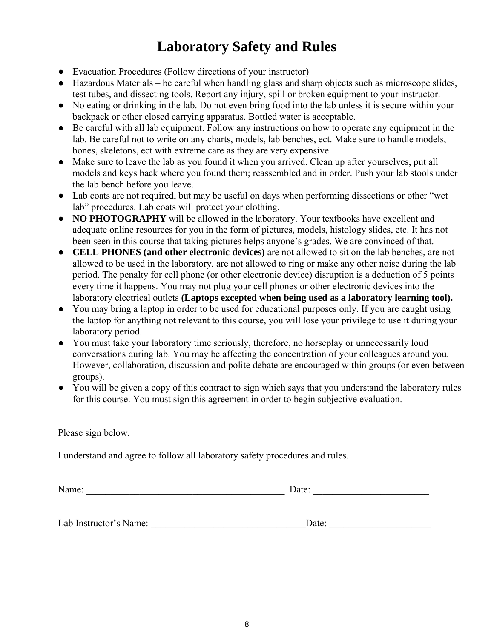### **Laboratory Safety and Rules**

- Evacuation Procedures (Follow directions of your instructor)
- Hazardous Materials be careful when handling glass and sharp objects such as microscope slides, test tubes, and dissecting tools. Report any injury, spill or broken equipment to your instructor.
- No eating or drinking in the lab. Do not even bring food into the lab unless it is secure within your backpack or other closed carrying apparatus. Bottled water is acceptable.
- Be careful with all lab equipment. Follow any instructions on how to operate any equipment in the lab. Be careful not to write on any charts, models, lab benches, ect. Make sure to handle models, bones, skeletons, ect with extreme care as they are very expensive.
- Make sure to leave the lab as you found it when you arrived. Clean up after yourselves, put all models and keys back where you found them; reassembled and in order. Push your lab stools under the lab bench before you leave.
- Lab coats are not required, but may be useful on days when performing dissections or other "wet lab" procedures. Lab coats will protect your clothing.
- **NO PHOTOGRAPHY** will be allowed in the laboratory. Your textbooks have excellent and adequate online resources for you in the form of pictures, models, histology slides, etc. It has not been seen in this course that taking pictures helps anyone's grades. We are convinced of that.
- **CELL PHONES (and other electronic devices)** are not allowed to sit on the lab benches, are not allowed to be used in the laboratory, are not allowed to ring or make any other noise during the lab period. The penalty for cell phone (or other electronic device) disruption is a deduction of 5 points every time it happens. You may not plug your cell phones or other electronic devices into the laboratory electrical outlets **(Laptops excepted when being used as a laboratory learning tool).**
- You may bring a laptop in order to be used for educational purposes only. If you are caught using the laptop for anything not relevant to this course, you will lose your privilege to use it during your laboratory period.
- You must take your laboratory time seriously, therefore, no horseplay or unnecessarily loud conversations during lab. You may be affecting the concentration of your colleagues around you. However, collaboration, discussion and polite debate are encouraged within groups (or even between groups).
- You will be given a copy of this contract to sign which says that you understand the laboratory rules for this course. You must sign this agreement in order to begin subjective evaluation.

Please sign below.

I understand and agree to follow all laboratory safety procedures and rules.

Name: \_\_\_\_\_\_\_\_\_\_\_\_\_\_\_\_\_\_\_\_\_\_\_\_\_\_\_\_\_\_\_\_\_\_\_\_\_\_\_\_\_ Date: \_\_\_\_\_\_\_\_\_\_\_\_\_\_\_\_\_\_\_\_\_\_\_\_ Lab Instructor's Name: \_\_\_\_\_\_\_\_\_\_\_\_\_\_\_\_\_\_\_\_\_\_\_\_\_\_\_\_\_\_\_\_Date: \_\_\_\_\_\_\_\_\_\_\_\_\_\_\_\_\_\_\_\_\_